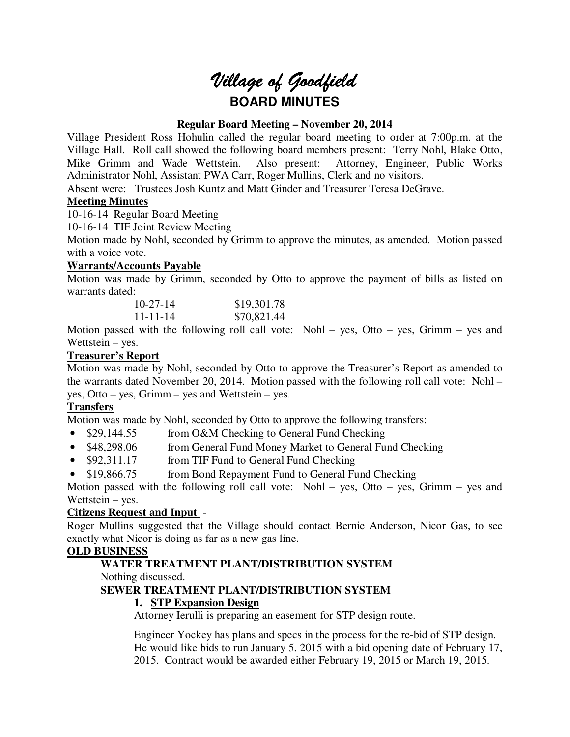# *Village of Goodfield* **BOARD MINUTES**

#### **Regular Board Meeting – November 20, 2014**

Village President Ross Hohulin called the regular board meeting to order at 7:00p.m. at the Village Hall. Roll call showed the following board members present: Terry Nohl, Blake Otto, Mike Grimm and Wade Wettstein. Also present: Attorney, Engineer, Public Works Administrator Nohl, Assistant PWA Carr, Roger Mullins, Clerk and no visitors.

Absent were: Trustees Josh Kuntz and Matt Ginder and Treasurer Teresa DeGrave.

## **Meeting Minutes**

10-16-14 Regular Board Meeting

10-16-14 TIF Joint Review Meeting

Motion made by Nohl, seconded by Grimm to approve the minutes, as amended. Motion passed with a voice vote.

## **Warrants/Accounts Payable**

Motion was made by Grimm, seconded by Otto to approve the payment of bills as listed on warrants dated:

| $10-27-14$     | \$19,301.78 |
|----------------|-------------|
| $11 - 11 - 14$ | \$70,821.44 |

Motion passed with the following roll call vote: Nohl – yes, Otto – yes, Grimm – yes and Wettstein – yes.

# **Treasurer's Report**

Motion was made by Nohl, seconded by Otto to approve the Treasurer's Report as amended to the warrants dated November 20, 2014. Motion passed with the following roll call vote: Nohl – yes, Otto – yes, Grimm – yes and Wettstein – yes.

# **Transfers**

Motion was made by Nohl, seconded by Otto to approve the following transfers:

- \$29,144.55 from O&M Checking to General Fund Checking
- \$48,298.06 from General Fund Money Market to General Fund Checking
- \$92,311.17 from TIF Fund to General Fund Checking
- \$19,866.75 from Bond Repayment Fund to General Fund Checking

Motion passed with the following roll call vote: Nohl – yes, Otto – yes, Grimm – yes and Wettstein – yes.

# **Citizens Request and Input** -

Roger Mullins suggested that the Village should contact Bernie Anderson, Nicor Gas, to see exactly what Nicor is doing as far as a new gas line.

#### **OLD BUSINESS**

#### **WATER TREATMENT PLANT/DISTRIBUTION SYSTEM**

Nothing discussed.

#### **SEWER TREATMENT PLANT/DISTRIBUTION SYSTEM**

# **1. STP Expansion Design**

Attorney Ierulli is preparing an easement for STP design route.

Engineer Yockey has plans and specs in the process for the re-bid of STP design. He would like bids to run January 5, 2015 with a bid opening date of February 17, 2015. Contract would be awarded either February 19, 2015 or March 19, 2015.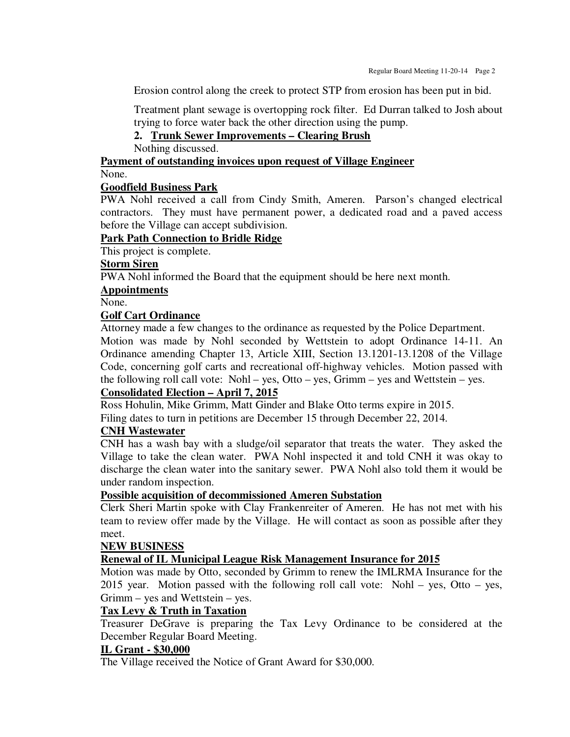Erosion control along the creek to protect STP from erosion has been put in bid.

Treatment plant sewage is overtopping rock filter. Ed Durran talked to Josh about trying to force water back the other direction using the pump.

**2. Trunk Sewer Improvements – Clearing Brush** 

Nothing discussed.

# **Payment of outstanding invoices upon request of Village Engineer**

None.

#### **Goodfield Business Park**

PWA Nohl received a call from Cindy Smith, Ameren. Parson's changed electrical contractors. They must have permanent power, a dedicated road and a paved access before the Village can accept subdivision.

#### **Park Path Connection to Bridle Ridge**

This project is complete.

#### **Storm Siren**

PWA Nohl informed the Board that the equipment should be here next month.

**Appointments** 

#### None.

#### **Golf Cart Ordinance**

Attorney made a few changes to the ordinance as requested by the Police Department. Motion was made by Nohl seconded by Wettstein to adopt Ordinance 14-11. An Ordinance amending Chapter 13, Article XIII, Section 13.1201-13.1208 of the Village Code, concerning golf carts and recreational off-highway vehicles. Motion passed with the following roll call vote: Nohl – yes, Otto – yes, Grimm – yes and Wettstein – yes.

#### **Consolidated Election – April 7, 2015**

Ross Hohulin, Mike Grimm, Matt Ginder and Blake Otto terms expire in 2015.

Filing dates to turn in petitions are December 15 through December 22, 2014.

#### **CNH Wastewater**

CNH has a wash bay with a sludge/oil separator that treats the water. They asked the Village to take the clean water. PWA Nohl inspected it and told CNH it was okay to discharge the clean water into the sanitary sewer. PWA Nohl also told them it would be under random inspection.

#### **Possible acquisition of decommissioned Ameren Substation**

Clerk Sheri Martin spoke with Clay Frankenreiter of Ameren. He has not met with his team to review offer made by the Village. He will contact as soon as possible after they meet.

#### **NEW BUSINESS**

## **Renewal of IL Municipal League Risk Management Insurance for 2015**

Motion was made by Otto, seconded by Grimm to renew the IMLRMA Insurance for the 2015 year. Motion passed with the following roll call vote: Nohl – yes, Otto – yes, Grimm – yes and Wettstein – yes.

# **Tax Levy & Truth in Taxation**

Treasurer DeGrave is preparing the Tax Levy Ordinance to be considered at the December Regular Board Meeting.

#### **IL Grant - \$30,000**

The Village received the Notice of Grant Award for \$30,000.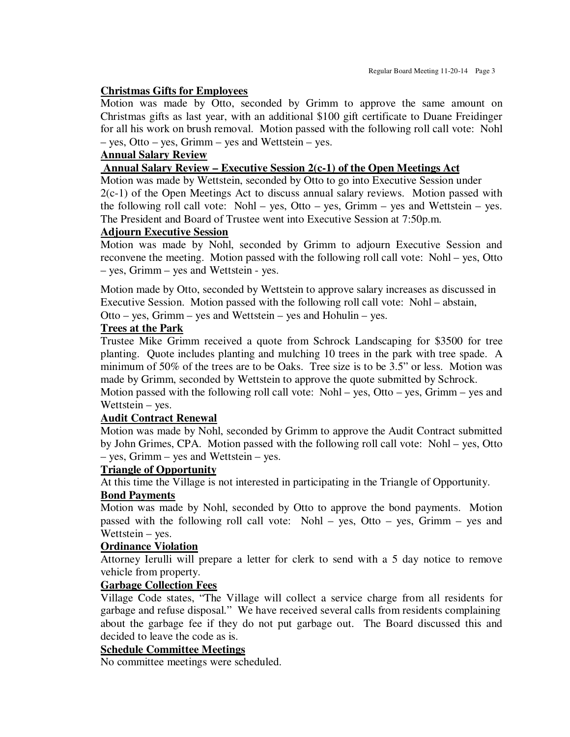#### **Christmas Gifts for Employees**

Motion was made by Otto, seconded by Grimm to approve the same amount on Christmas gifts as last year, with an additional \$100 gift certificate to Duane Freidinger for all his work on brush removal. Motion passed with the following roll call vote: Nohl – yes, Otto – yes, Grimm – yes and Wettstein – yes.

## **Annual Salary Review**

#### **Annual Salary Review – Executive Session 2(c-1) of the Open Meetings Act**

Motion was made by Wettstein, seconded by Otto to go into Executive Session under 2(c-1) of the Open Meetings Act to discuss annual salary reviews. Motion passed with the following roll call vote: Nohl – yes, Otto – yes, Grimm – yes and Wettstein – yes. The President and Board of Trustee went into Executive Session at 7:50p.m.

#### **Adjourn Executive Session**

Motion was made by Nohl, seconded by Grimm to adjourn Executive Session and reconvene the meeting. Motion passed with the following roll call vote: Nohl – yes, Otto – yes, Grimm – yes and Wettstein - yes.

Motion made by Otto, seconded by Wettstein to approve salary increases as discussed in Executive Session. Motion passed with the following roll call vote: Nohl – abstain, Otto – yes, Grimm – yes and Wettstein – yes and Hohulin – yes.

#### **Trees at the Park**

Trustee Mike Grimm received a quote from Schrock Landscaping for \$3500 for tree planting. Quote includes planting and mulching 10 trees in the park with tree spade. A minimum of 50% of the trees are to be Oaks. Tree size is to be 3.5" or less. Motion was made by Grimm, seconded by Wettstein to approve the quote submitted by Schrock.

Motion passed with the following roll call vote: Nohl – yes, Otto – yes, Grimm – yes and Wettstein – yes.

#### **Audit Contract Renewal**

Motion was made by Nohl, seconded by Grimm to approve the Audit Contract submitted by John Grimes, CPA. Motion passed with the following roll call vote: Nohl – yes, Otto – yes, Grimm – yes and Wettstein – yes.

#### **Triangle of Opportunity**

At this time the Village is not interested in participating in the Triangle of Opportunity.

#### **Bond Payments**

Motion was made by Nohl, seconded by Otto to approve the bond payments. Motion passed with the following roll call vote: Nohl – yes, Otto – yes, Grimm – yes and Wettstein – yes.

#### **Ordinance Violation**

Attorney Ierulli will prepare a letter for clerk to send with a 5 day notice to remove vehicle from property.

#### **Garbage Collection Fees**

Village Code states, "The Village will collect a service charge from all residents for garbage and refuse disposal." We have received several calls from residents complaining about the garbage fee if they do not put garbage out. The Board discussed this and decided to leave the code as is.

#### **Schedule Committee Meetings**

No committee meetings were scheduled.